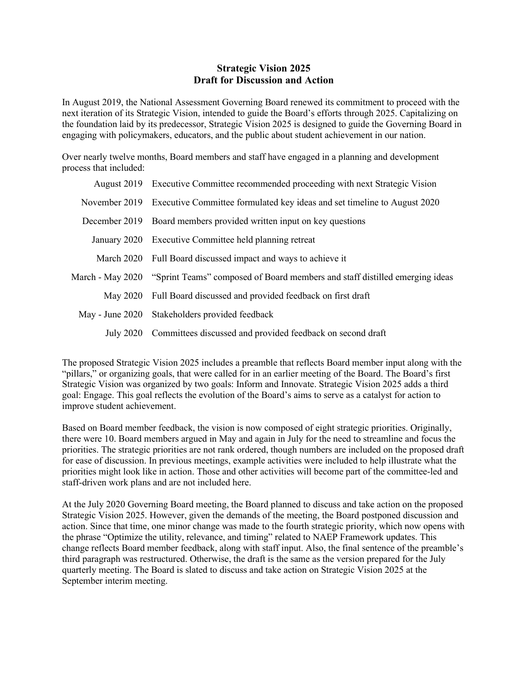#### **Strategic Vision 2025 Draft for Discussion and Action**

In August 2019, the National Assessment Governing Board renewed its commitment to proceed with the next iteration of its Strategic Vision, intended to guide the Board's efforts through 2025. Capitalizing on the foundation laid by its predecessor, Strategic Vision 2025 is designed to guide the Governing Board in engaging with policymakers, educators, and the public about student achievement in our nation.

Over nearly twelve months, Board members and staff have engaged in a planning and development process that included:

|               | August 2019 Executive Committee recommended proceeding with next Strategic Vision            |
|---------------|----------------------------------------------------------------------------------------------|
|               | November 2019 Executive Committee formulated key ideas and set timeline to August 2020       |
| December 2019 | Board members provided written input on key questions                                        |
|               | January 2020 Executive Committee held planning retreat                                       |
| March 2020    | Full Board discussed impact and ways to achieve it                                           |
|               | March - May 2020 "Sprint Teams" composed of Board members and staff distilled emerging ideas |
| May 2020      | Full Board discussed and provided feedback on first draft                                    |
|               | May - June 2020 Stakeholders provided feedback                                               |
|               | July 2020 Committees discussed and provided feedback on second draft                         |

The proposed Strategic Vision 2025 includes a preamble that reflects Board member input along with the "pillars," or organizing goals, that were called for in an earlier meeting of the Board. The Board's first Strategic Vision was organized by two goals: Inform and Innovate. Strategic Vision 2025 adds a third goal: Engage. This goal reflects the evolution of the Board's aims to serve as a catalyst for action to improve student achievement.

Based on Board member feedback, the vision is now composed of eight strategic priorities. Originally, there were 10. Board members argued in May and again in July for the need to streamline and focus the priorities. The strategic priorities are not rank ordered, though numbers are included on the proposed draft for ease of discussion. In previous meetings, example activities were included to help illustrate what the priorities might look like in action. Those and other activities will become part of the committee-led and staff-driven work plans and are not included here.

At the July 2020 Governing Board meeting, the Board planned to discuss and take action on the proposed Strategic Vision 2025. However, given the demands of the meeting, the Board postponed discussion and action. Since that time, one minor change was made to the fourth strategic priority, which now opens with the phrase "Optimize the utility, relevance, and timing" related to NAEP Framework updates. This change reflects Board member feedback, along with staff input. Also, the final sentence of the preamble's third paragraph was restructured. Otherwise, the draft is the same as the version prepared for the July quarterly meeting. The Board is slated to discuss and take action on Strategic Vision 2025 at the September interim meeting.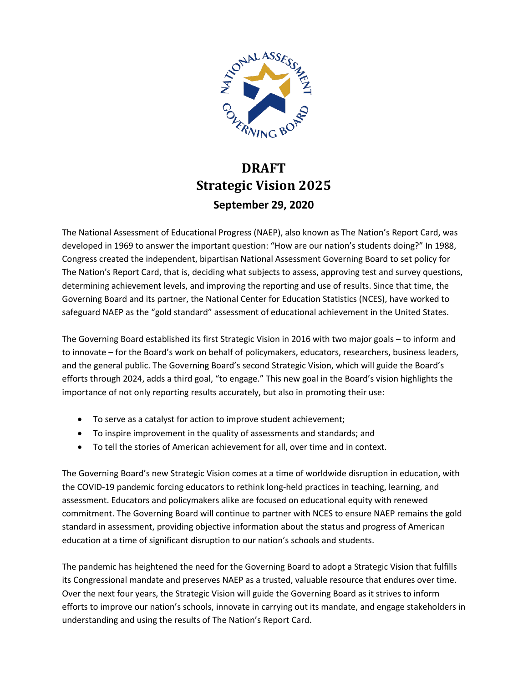

# **DRAFT Strategic Vision 2025 September 29, 2020**

The National Assessment of Educational Progress (NAEP), also known as The Nation's Report Card, was developed in 1969 to answer the important question: "How are our nation's students doing?" In 1988, Congress created the independent, bipartisan National Assessment Governing Board to set policy for The Nation's Report Card, that is, deciding what subjects to assess, approving test and survey questions, determining achievement levels, and improving the reporting and use of results. Since that time, the Governing Board and its partner, the National Center for Education Statistics (NCES), have worked to safeguard NAEP as the "gold standard" assessment of educational achievement in the United States.

The Governing Board established its first Strategic Vision in 2016 with two major goals – to inform and to innovate – for the Board's work on behalf of policymakers, educators, researchers, business leaders, and the general public. The Governing Board's second Strategic Vision, which will guide the Board's efforts through 2024, adds a third goal, "to engage." This new goal in the Board's vision highlights the importance of not only reporting results accurately, but also in promoting their use:

- To serve as a catalyst for action to improve student achievement;
- To inspire improvement in the quality of assessments and standards; and
- To tell the stories of American achievement for all, over time and in context.

The Governing Board's new Strategic Vision comes at a time of worldwide disruption in education, with the COVID-19 pandemic forcing educators to rethink long-held practices in teaching, learning, and assessment. Educators and policymakers alike are focused on educational equity with renewed commitment. The Governing Board will continue to partner with NCES to ensure NAEP remains the gold standard in assessment, providing objective information about the status and progress of American education at a time of significant disruption to our nation's schools and students.

The pandemic has heightened the need for the Governing Board to adopt a Strategic Vision that fulfills its Congressional mandate and preserves NAEP as a trusted, valuable resource that endures over time. Over the next four years, the Strategic Vision will guide the Governing Board as it strives to inform efforts to improve our nation's schools, innovate in carrying out its mandate, and engage stakeholders in understanding and using the results of The Nation's Report Card.